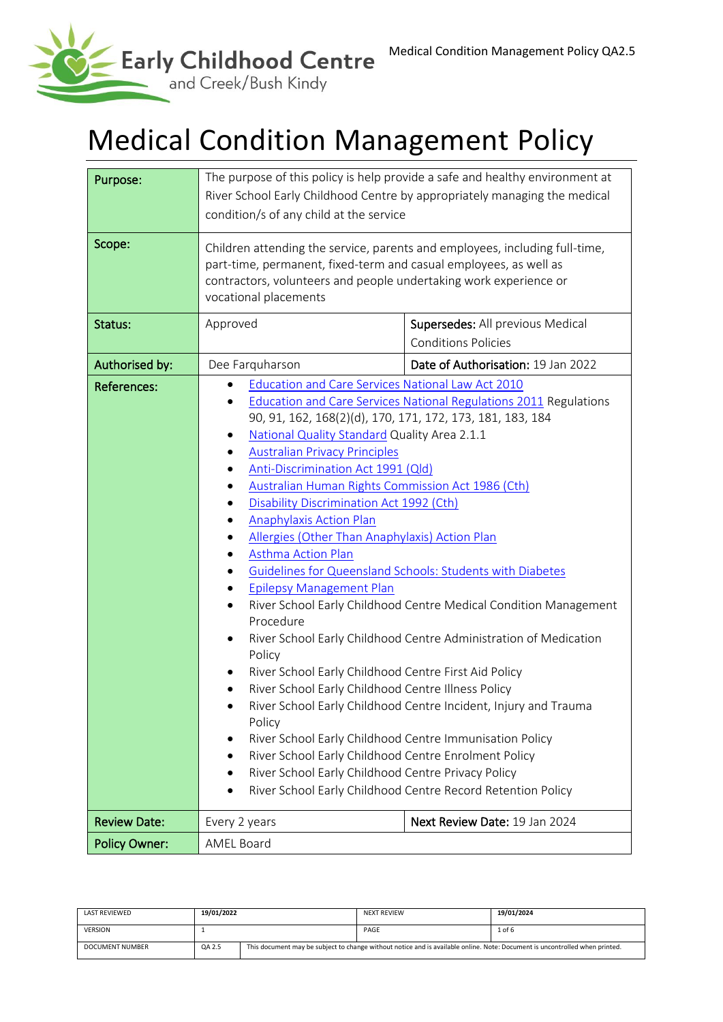

# Medical Condition Management Policy

| Purpose:             | The purpose of this policy is help provide a safe and healthy environment at<br>River School Early Childhood Centre by appropriately managing the medical<br>condition/s of any child at the service                                                                                                                                                                                                                                                                                                                                                                                                                                                                                                                                                                                                                                                                                                                                                                                                                                                                                                                                                                                                                                                           |                                                                |  |  |
|----------------------|----------------------------------------------------------------------------------------------------------------------------------------------------------------------------------------------------------------------------------------------------------------------------------------------------------------------------------------------------------------------------------------------------------------------------------------------------------------------------------------------------------------------------------------------------------------------------------------------------------------------------------------------------------------------------------------------------------------------------------------------------------------------------------------------------------------------------------------------------------------------------------------------------------------------------------------------------------------------------------------------------------------------------------------------------------------------------------------------------------------------------------------------------------------------------------------------------------------------------------------------------------------|----------------------------------------------------------------|--|--|
| Scope:               | Children attending the service, parents and employees, including full-time,<br>part-time, permanent, fixed-term and casual employees, as well as<br>contractors, volunteers and people undertaking work experience or<br>vocational placements                                                                                                                                                                                                                                                                                                                                                                                                                                                                                                                                                                                                                                                                                                                                                                                                                                                                                                                                                                                                                 |                                                                |  |  |
| Status:              | Approved                                                                                                                                                                                                                                                                                                                                                                                                                                                                                                                                                                                                                                                                                                                                                                                                                                                                                                                                                                                                                                                                                                                                                                                                                                                       | Supersedes: All previous Medical<br><b>Conditions Policies</b> |  |  |
| Authorised by:       | Dee Farquharson                                                                                                                                                                                                                                                                                                                                                                                                                                                                                                                                                                                                                                                                                                                                                                                                                                                                                                                                                                                                                                                                                                                                                                                                                                                | Date of Authorisation: 19 Jan 2022                             |  |  |
| <b>References:</b>   | Education and Care Services National Law Act 2010<br><b>Education and Care Services National Regulations 2011 Regulations</b><br>90, 91, 162, 168(2)(d), 170, 171, 172, 173, 181, 183, 184<br>National Quality Standard Quality Area 2.1.1<br>٠<br><b>Australian Privacy Principles</b><br>Anti-Discrimination Act 1991 (Qld)<br>Australian Human Rights Commission Act 1986 (Cth)<br>Disability Discrimination Act 1992 (Cth)<br><b>Anaphylaxis Action Plan</b><br>Allergies (Other Than Anaphylaxis) Action Plan<br><b>Asthma Action Plan</b><br>Guidelines for Queensland Schools: Students with Diabetes<br><b>Epilepsy Management Plan</b><br>River School Early Childhood Centre Medical Condition Management<br>Procedure<br>River School Early Childhood Centre Administration of Medication<br>$\bullet$<br>Policy<br>River School Early Childhood Centre First Aid Policy<br>River School Early Childhood Centre Illness Policy<br>River School Early Childhood Centre Incident, Injury and Trauma<br>Policy<br>River School Early Childhood Centre Immunisation Policy<br>River School Early Childhood Centre Enrolment Policy<br>River School Early Childhood Centre Privacy Policy<br>River School Early Childhood Centre Record Retention Policy |                                                                |  |  |
| <b>Review Date:</b>  | Every 2 years                                                                                                                                                                                                                                                                                                                                                                                                                                                                                                                                                                                                                                                                                                                                                                                                                                                                                                                                                                                                                                                                                                                                                                                                                                                  | Next Review Date: 19 Jan 2024                                  |  |  |
| <b>Policy Owner:</b> | <b>AMEL Board</b>                                                                                                                                                                                                                                                                                                                                                                                                                                                                                                                                                                                                                                                                                                                                                                                                                                                                                                                                                                                                                                                                                                                                                                                                                                              |                                                                |  |  |

| <b>LAST REVIEWED</b> | 19/01/2022 |                                                                                                                             | <b>NEXT REVIEW</b> | 19/01/2024 |
|----------------------|------------|-----------------------------------------------------------------------------------------------------------------------------|--------------------|------------|
| <b>VERSION</b>       |            |                                                                                                                             | PAGE               | $1$ of 6   |
| DOCUMENT NUMBER      | QA 2.5     | This document may be subject to change without notice and is available online. Note: Document is uncontrolled when printed. |                    |            |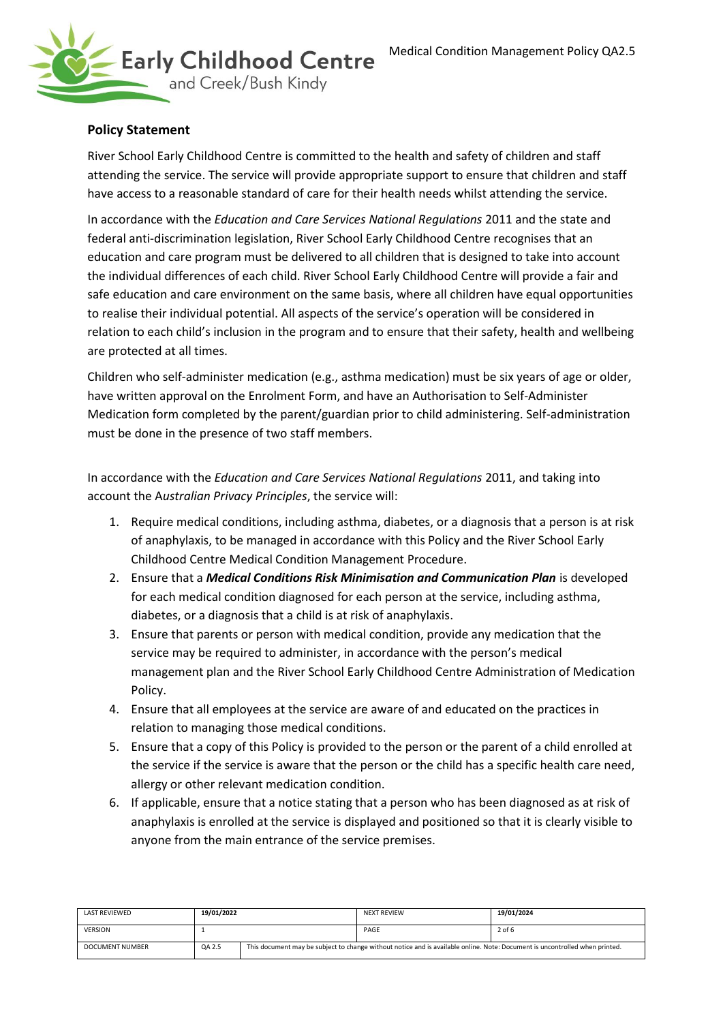

# **Policy Statement**

River School Early Childhood Centre is committed to the health and safety of children and staff attending the service. The service will provide appropriate support to ensure that children and staff have access to a reasonable standard of care for their health needs whilst attending the service.

In accordance with the *Education and Care Services National Regulations* 2011 and the state and federal anti-discrimination legislation, River School Early Childhood Centre recognises that an education and care program must be delivered to all children that is designed to take into account the individual differences of each child. River School Early Childhood Centre will provide a fair and safe education and care environment on the same basis, where all children have equal opportunities to realise their individual potential. All aspects of the service's operation will be considered in relation to each child's inclusion in the program and to ensure that their safety, health and wellbeing are protected at all times.

Children who self-administer medication (e.g., asthma medication) must be six years of age or older, have written approval on the Enrolment Form, and have an Authorisation to Self-Administer Medication form completed by the parent/guardian prior to child administering. Self-administration must be done in the presence of two staff members.

In accordance with the *Education and Care Services National Regulations* 2011, and taking into account the A*ustralian Privacy Principles*, the service will:

- 1. Require medical conditions, including asthma, diabetes, or a diagnosis that a person is at risk of anaphylaxis, to be managed in accordance with this Policy and the River School Early Childhood Centre Medical Condition Management Procedure.
- 2. Ensure that a *Medical Conditions Risk Minimisation and Communication Plan* is developed for each medical condition diagnosed for each person at the service, including asthma, diabetes, or a diagnosis that a child is at risk of anaphylaxis.
- 3. Ensure that parents or person with medical condition, provide any medication that the service may be required to administer, in accordance with the person's medical management plan and the River School Early Childhood Centre Administration of Medication Policy.
- 4. Ensure that all employees at the service are aware of and educated on the practices in relation to managing those medical conditions.
- 5. Ensure that a copy of this Policy is provided to the person or the parent of a child enrolled at the service if the service is aware that the person or the child has a specific health care need, allergy or other relevant medication condition.
- 6. If applicable, ensure that a notice stating that a person who has been diagnosed as at risk of anaphylaxis is enrolled at the service is displayed and positioned so that it is clearly visible to anyone from the main entrance of the service premises.

| LAST REVIEWED          | 19/01/2022 |                                                                                                                             | <b>NEXT REVIEW</b> | 19/01/2024 |
|------------------------|------------|-----------------------------------------------------------------------------------------------------------------------------|--------------------|------------|
| <b>VERSION</b>         |            |                                                                                                                             | PAGE               | 2 of 6     |
| <b>DOCUMENT NUMBER</b> | QA 2.5     | This document may be subject to change without notice and is available online. Note: Document is uncontrolled when printed. |                    |            |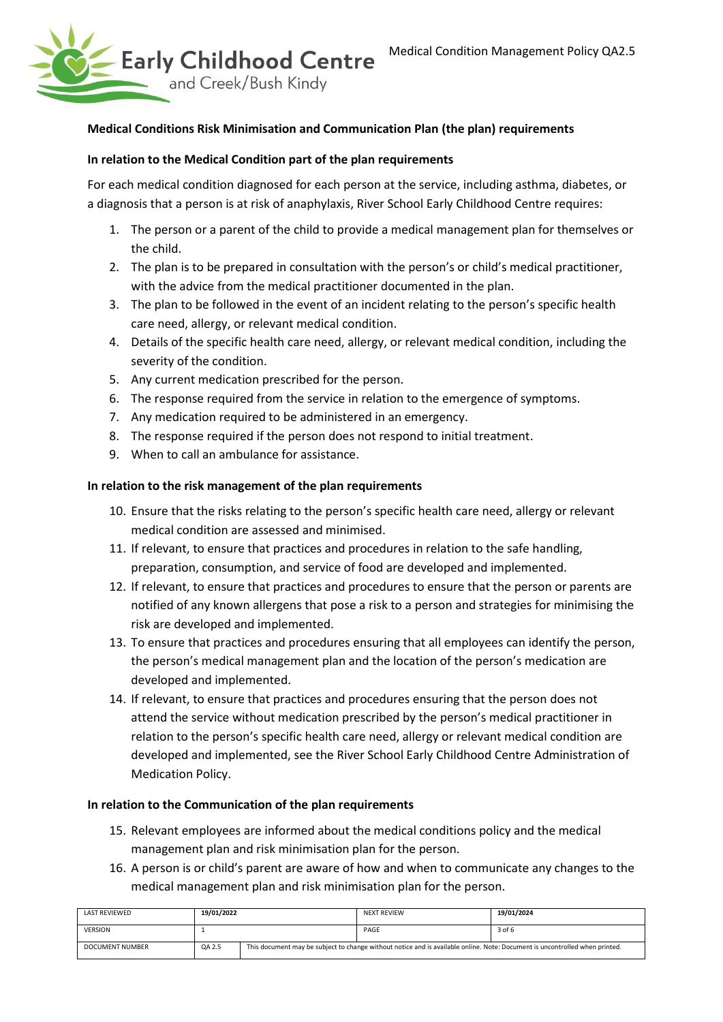

#### **Medical Conditions Risk Minimisation and Communication Plan (the plan) requirements**

#### **In relation to the Medical Condition part of the plan requirements**

For each medical condition diagnosed for each person at the service, including asthma, diabetes, or a diagnosis that a person is at risk of anaphylaxis, River School Early Childhood Centre requires:

- 1. The person or a parent of the child to provide a medical management plan for themselves or the child.
- 2. The plan is to be prepared in consultation with the person's or child's medical practitioner, with the advice from the medical practitioner documented in the plan.
- 3. The plan to be followed in the event of an incident relating to the person's specific health care need, allergy, or relevant medical condition.
- 4. Details of the specific health care need, allergy, or relevant medical condition, including the severity of the condition.
- 5. Any current medication prescribed for the person.
- 6. The response required from the service in relation to the emergence of symptoms.
- 7. Any medication required to be administered in an emergency.
- 8. The response required if the person does not respond to initial treatment.
- 9. When to call an ambulance for assistance.

#### **In relation to the risk management of the plan requirements**

- 10. Ensure that the risks relating to the person's specific health care need, allergy or relevant medical condition are assessed and minimised.
- 11. If relevant, to ensure that practices and procedures in relation to the safe handling, preparation, consumption, and service of food are developed and implemented.
- 12. If relevant, to ensure that practices and procedures to ensure that the person or parents are notified of any known allergens that pose a risk to a person and strategies for minimising the risk are developed and implemented.
- 13. To ensure that practices and procedures ensuring that all employees can identify the person, the person's medical management plan and the location of the person's medication are developed and implemented.
- 14. If relevant, to ensure that practices and procedures ensuring that the person does not attend the service without medication prescribed by the person's medical practitioner in relation to the person's specific health care need, allergy or relevant medical condition are developed and implemented, see the River School Early Childhood Centre Administration of Medication Policy.

#### **In relation to the Communication of the plan requirements**

- 15. Relevant employees are informed about the medical conditions policy and the medical management plan and risk minimisation plan for the person.
- 16. A person is or child's parent are aware of how and when to communicate any changes to the medical management plan and risk minimisation plan for the person.

| <b>LAST REVIEWED</b> | 19/01/2022 |                                                                                                                             | <b>NEXT REVIEW</b> | 19/01/2024 |
|----------------------|------------|-----------------------------------------------------------------------------------------------------------------------------|--------------------|------------|
| <b>VERSION</b>       |            |                                                                                                                             | PAGE               | 3 of 6     |
| DOCUMENT NUMBER      | QA 2.5     | This document may be subject to change without notice and is available online. Note: Document is uncontrolled when printed. |                    |            |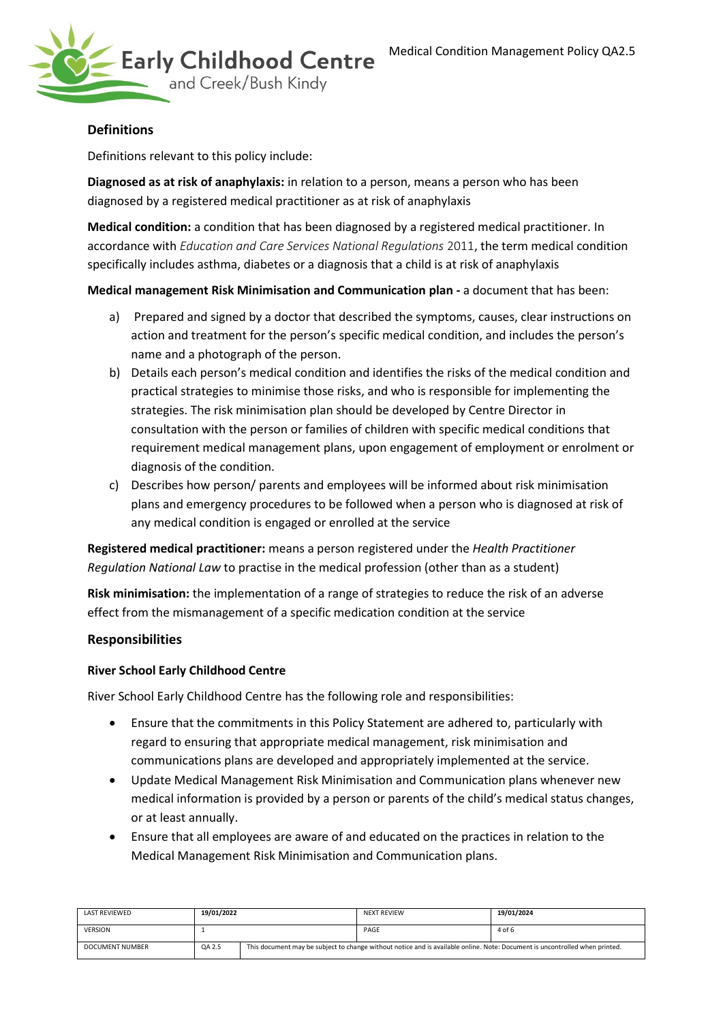

# **Definitions**

Definitions relevant to this policy include:

**Diagnosed as at risk of anaphylaxis:** in relation to a person, means a person who has been diagnosed by a registered medical practitioner as at risk of anaphylaxis

**Medical condition:** a condition that has been diagnosed by a registered medical practitioner. In accordance with *Education and Care Services National Regulations* 2011, the term medical condition specifically includes asthma, diabetes or a diagnosis that a child is at risk of anaphylaxis

**Medical management Risk Minimisation and Communication plan -** a document that has been:

- a) Prepared and signed by a doctor that described the symptoms, causes, clear instructions on action and treatment for the person's specific medical condition, and includes the person's name and a photograph of the person.
- b) Details each person's medical condition and identifies the risks of the medical condition and practical strategies to minimise those risks, and who is responsible for implementing the strategies. The risk minimisation plan should be developed by Centre Director in consultation with the person or families of children with specific medical conditions that requirement medical management plans, upon engagement of employment or enrolment or diagnosis of the condition.
- c) Describes how person/ parents and employees will be informed about risk minimisation plans and emergency procedures to be followed when a person who is diagnosed at risk of any medical condition is engaged or enrolled at the service

**Registered medical practitioner:** means a person registered under the *Health Practitioner Regulation National Law* to practise in the medical profession (other than as a student)

**Risk minimisation:** the implementation of a range of strategies to reduce the risk of an adverse effect from the mismanagement of a specific medication condition at the service

## **Responsibilities**

## **River School Early Childhood Centre**

River School Early Childhood Centre has the following role and responsibilities:

- Ensure that the commitments in this Policy Statement are adhered to, particularly with regard to ensuring that appropriate medical management, risk minimisation and communications plans are developed and appropriately implemented at the service.
- Update Medical Management Risk Minimisation and Communication plans whenever new medical information is provided by a person or parents of the child's medical status changes, or at least annually.
- Ensure that all employees are aware of and educated on the practices in relation to the Medical Management Risk Minimisation and Communication plans.

| <b>LAST REVIEWED</b> | 19/01/2022 |                                                                                                                             | <b>NEXT REVIEW</b> | 19/01/2024 |
|----------------------|------------|-----------------------------------------------------------------------------------------------------------------------------|--------------------|------------|
| <b>VERSION</b>       |            |                                                                                                                             | PAGE               | 4 of 6     |
| DOCUMENT NUMBER      | QA 2.5     | This document may be subject to change without notice and is available online. Note: Document is uncontrolled when printed. |                    |            |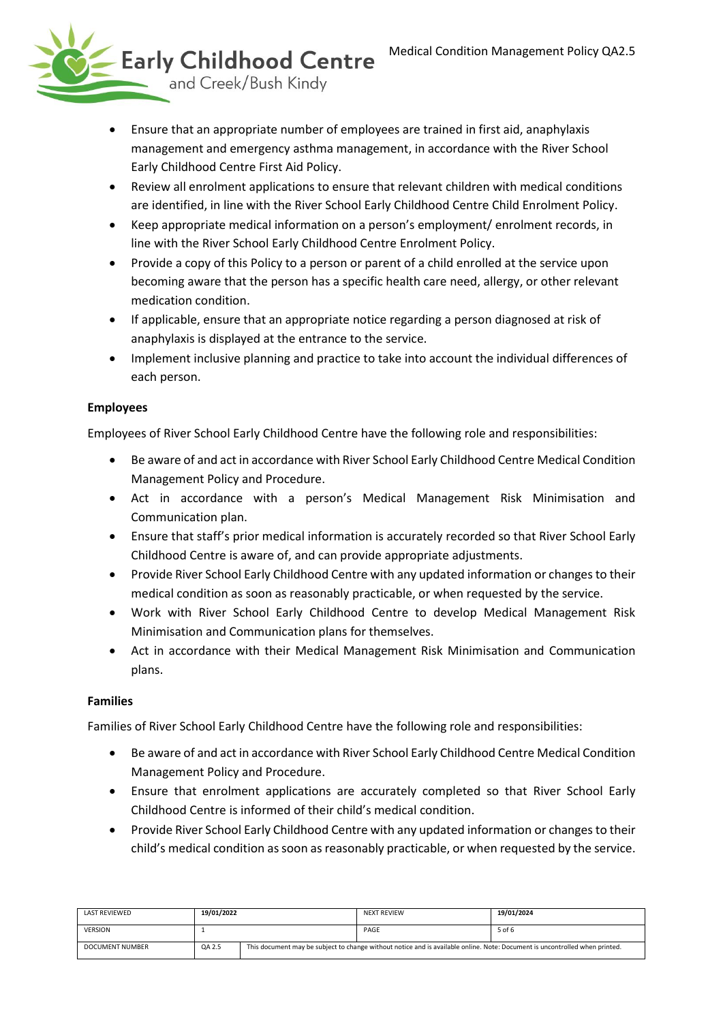

- Ensure that an appropriate number of employees are trained in first aid, anaphylaxis management and emergency asthma management, in accordance with the River School Early Childhood Centre First Aid Policy.
- Review all enrolment applications to ensure that relevant children with medical conditions are identified, in line with the River School Early Childhood Centre Child Enrolment Policy.
- Keep appropriate medical information on a person's employment/ enrolment records, in line with the River School Early Childhood Centre Enrolment Policy.
- Provide a copy of this Policy to a person or parent of a child enrolled at the service upon becoming aware that the person has a specific health care need, allergy, or other relevant medication condition.
- If applicable, ensure that an appropriate notice regarding a person diagnosed at risk of anaphylaxis is displayed at the entrance to the service.
- Implement inclusive planning and practice to take into account the individual differences of each person.

## **Employees**

Employees of River School Early Childhood Centre have the following role and responsibilities:

- Be aware of and act in accordance with River School Early Childhood Centre Medical Condition Management Policy and Procedure.
- Act in accordance with a person's Medical Management Risk Minimisation and Communication plan.
- Ensure that staff's prior medical information is accurately recorded so that River School Early Childhood Centre is aware of, and can provide appropriate adjustments.
- Provide River School Early Childhood Centre with any updated information or changes to their medical condition as soon as reasonably practicable, or when requested by the service.
- Work with River School Early Childhood Centre to develop Medical Management Risk Minimisation and Communication plans for themselves.
- Act in accordance with their Medical Management Risk Minimisation and Communication plans.

## **Families**

Families of River School Early Childhood Centre have the following role and responsibilities:

- Be aware of and act in accordance with River School Early Childhood Centre Medical Condition Management Policy and Procedure.
- Ensure that enrolment applications are accurately completed so that River School Early Childhood Centre is informed of their child's medical condition.
- Provide River School Early Childhood Centre with any updated information or changes to their child's medical condition as soon as reasonably practicable, or when requested by the service.

| LAST REVIEWED   | 19/01/2022 |                                                                                                                             | <b>NEXT REVIEW</b> | 19/01/2024 |
|-----------------|------------|-----------------------------------------------------------------------------------------------------------------------------|--------------------|------------|
| <b>VERSION</b>  |            |                                                                                                                             | PAGE               | 5 of 6     |
| DOCUMENT NUMBER | QA 2.5     | This document may be subject to change without notice and is available online. Note: Document is uncontrolled when printed. |                    |            |